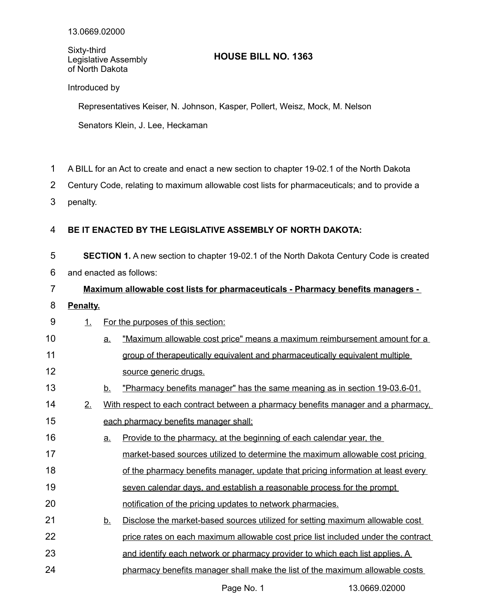Sixty-third Legislative Assembly of North Dakota

## **HOUSE BILL NO. 1363**

## Introduced by

Representatives Keiser, N. Johnson, Kasper, Pollert, Weisz, Mock, M. Nelson Senators Klein, J. Lee, Heckaman

- A BILL for an Act to create and enact a new section to chapter 19-02.1 of the North Dakota 1
- Century Code, relating to maximum allowable cost lists for pharmaceuticals; and to provide a 2
- penalty. 3

## **BE IT ENACTED BY THE LEGISLATIVE ASSEMBLY OF NORTH DAKOTA:** 4

**SECTION 1.** A new section to chapter 19-02.1 of the North Dakota Century Code is created and enacted as follows: 5 6

## **Maximum allowable cost lists for pharmaceuticals - Pharmacy benefits managers -** 7

**Penalty.** 8

13

- 1. For the purposes of this section: 9
- a. "Maximum allowable cost price" means a maximum reimbursement amount for a group of therapeutically equivalent and pharmaceutically equivalent multiple source generic drugs. 10 11 12
	- b. "Pharmacy benefits manager" has the same meaning as in section 19-03.6-01.
- 2. With respect to each contract between a pharmacy benefits manager and a pharmacy, each pharmacy benefits manager shall: 14 15
- a. Provide to the pharmacy, at the beginning of each calendar year, the market-based sources utilized to determine the maximum allowable cost pricing of the pharmacy benefits manager, update that pricing information at least every 16 17 18
- seven calendar days, and establish a reasonable process for the prompt 19
- notification of the pricing updates to network pharmacies. 20
- b. Disclose the market-based sources utilized for setting maximum allowable cost 21
- price rates on each maximum allowable cost price list included under the contract 22
- and identify each network or pharmacy provider to which each list applies. A 23
- pharmacy benefits manager shall make the list of the maximum allowable costs 24